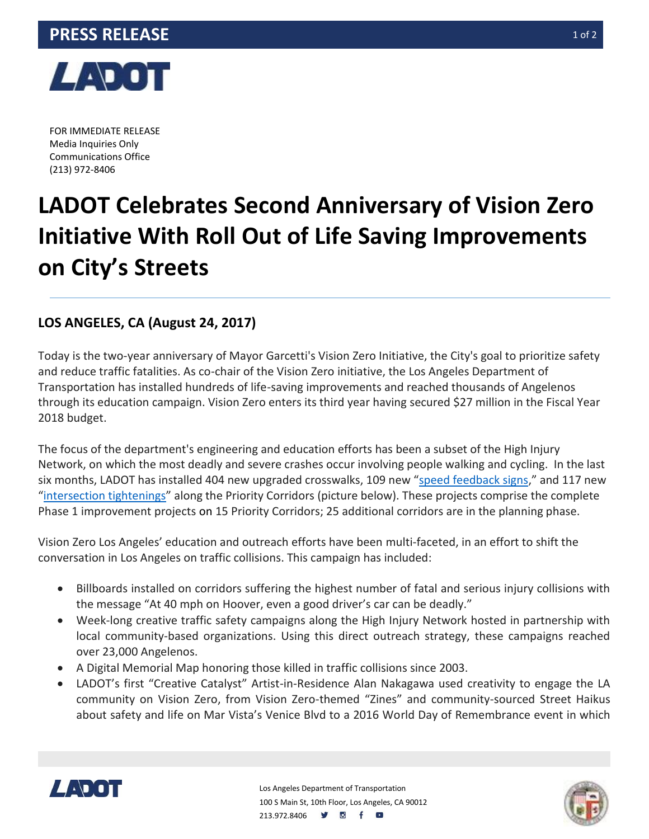

FOR IMMEDIATE RELEASE Media Inquiries Only Communications Office (213) 972-8406

## **LADOT Celebrates Second Anniversary of Vision Zero Initiative With Roll Out of Life Saving Improvements on City's Streets**

## **LOS ANGELES, CA (August 24, 2017)**

Today is the two-year anniversary of Mayor Garcetti's Vision Zero Initiative, the City's goal to prioritize safety and reduce traffic fatalities. As co-chair of the Vision Zero initiative, the Los Angeles Department of Transportation has installed hundreds of life-saving improvements and reached thousands of Angelenos through its education campaign. Vision Zero enters its third year having secured \$27 million in the Fiscal Year 2018 budget.

The focus of the department's engineering and education efforts has been a subset of the High Injury Network, on which the most deadly and severe crashes occur involving people walking and cycling. In the last six months, LADOT has installed 404 new upgraded crosswalks, 109 new "[speed feedback signs](https://vimeo.com/221041398)," and 117 new "[intersection tightenings](http://la.streetsblog.org/2017/05/03/vision-zero-painted-curb-extensions-come-to-koreatowns-3rd-street/)" along the Priority Corridors (picture below). These projects comprise the complete Phase 1 improvement projects on 15 Priority Corridors; 25 additional corridors are in the planning phase.

Vision Zero Los Angeles' education and outreach efforts have been multi-faceted, in an effort to shift the conversation in Los Angeles on traffic collisions. This campaign has included:

- Billboards installed on corridors suffering the highest number of fatal and serious injury collisions with the message "At 40 mph on Hoover, even a good driver's car can be deadly."
- Week-long creative traffic safety campaigns along the High Injury Network hosted in partnership with local community-based organizations. Using this direct outreach strategy, these campaigns reached over 23,000 Angelenos.
- A Digital Memorial Map honoring those killed in traffic collisions since 2003.
- LADOT's first "Creative Catalyst" Artist-in-Residence Alan Nakagawa used creativity to engage the LA community on Vision Zero, from Vision Zero-themed "Zines" and community-sourced Street Haikus about safety and life on Mar Vista's Venice Blvd to a 2016 World Day of Remembrance event in which